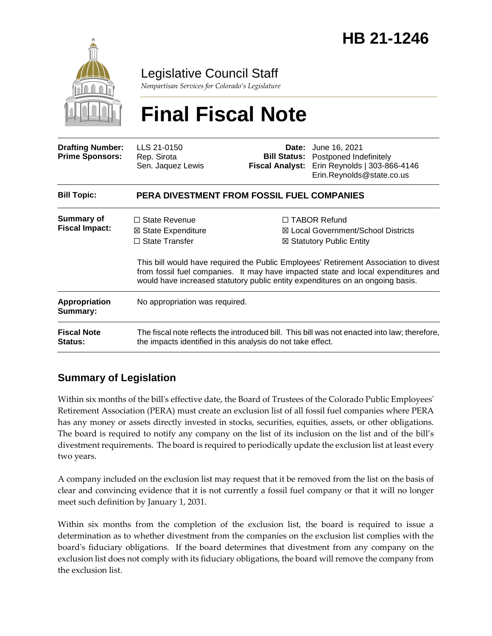

Legislative Council Staff

*Nonpartisan Services for Colorado's Legislature*

# **Final Fiscal Note**

| <b>Drafting Number:</b><br><b>Prime Sponsors:</b> | LLS 21-0150<br>Rep. Sirota<br>Sen. Jaquez Lewis                                                                                                             | <b>Fiscal Analyst:</b> | <b>Date:</b> June 16, 2021<br><b>Bill Status:</b> Postponed Indefinitely<br>Erin Reynolds   303-866-4146<br>Erin.Reynolds@state.co.us                                                                                                                                                                                                                                   |  |
|---------------------------------------------------|-------------------------------------------------------------------------------------------------------------------------------------------------------------|------------------------|-------------------------------------------------------------------------------------------------------------------------------------------------------------------------------------------------------------------------------------------------------------------------------------------------------------------------------------------------------------------------|--|
| <b>Bill Topic:</b>                                | <b>PERA DIVESTMENT FROM FOSSIL FUEL COMPANIES</b>                                                                                                           |                        |                                                                                                                                                                                                                                                                                                                                                                         |  |
| <b>Summary of</b><br><b>Fiscal Impact:</b>        | $\Box$ State Revenue<br>⊠ State Expenditure<br>$\Box$ State Transfer                                                                                        |                        | $\Box$ TABOR Refund<br><b>⊠ Local Government/School Districts</b><br>$\boxtimes$ Statutory Public Entity<br>This bill would have required the Public Employees' Retirement Association to divest<br>from fossil fuel companies. It may have impacted state and local expenditures and<br>would have increased statutory public entity expenditures on an ongoing basis. |  |
| <b>Appropriation</b><br>Summary:                  | No appropriation was required.                                                                                                                              |                        |                                                                                                                                                                                                                                                                                                                                                                         |  |
| <b>Fiscal Note</b><br><b>Status:</b>              | The fiscal note reflects the introduced bill. This bill was not enacted into law; therefore,<br>the impacts identified in this analysis do not take effect. |                        |                                                                                                                                                                                                                                                                                                                                                                         |  |

# **Summary of Legislation**

Within six months of the bill's effective date, the Board of Trustees of the Colorado Public Employees' Retirement Association (PERA) must create an exclusion list of all fossil fuel companies where PERA has any money or assets directly invested in stocks, securities, equities, assets, or other obligations. The board is required to notify any company on the list of its inclusion on the list and of the bill's divestment requirements. The board is required to periodically update the exclusion list at least every two years.

A company included on the exclusion list may request that it be removed from the list on the basis of clear and convincing evidence that it is not currently a fossil fuel company or that it will no longer meet such definition by January 1, 2031.

Within six months from the completion of the exclusion list, the board is required to issue a determination as to whether divestment from the companies on the exclusion list complies with the board's fiduciary obligations. If the board determines that divestment from any company on the exclusion list does not comply with its fiduciary obligations, the board will remove the company from the exclusion list.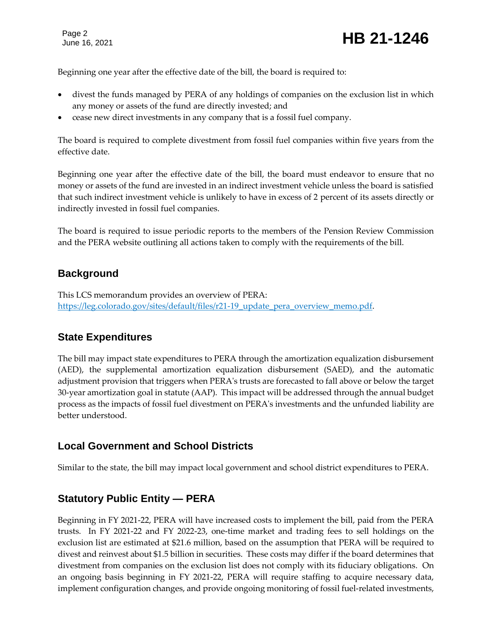Page 2

Page 2<br>June 16, 2021 **HB 21-1246** 

Beginning one year after the effective date of the bill, the board is required to:

- divest the funds managed by PERA of any holdings of companies on the exclusion list in which any money or assets of the fund are directly invested; and
- cease new direct investments in any company that is a fossil fuel company.

The board is required to complete divestment from fossil fuel companies within five years from the effective date.

Beginning one year after the effective date of the bill, the board must endeavor to ensure that no money or assets of the fund are invested in an indirect investment vehicle unless the board is satisfied that such indirect investment vehicle is unlikely to have in excess of 2 percent of its assets directly or indirectly invested in fossil fuel companies.

The board is required to issue periodic reports to the members of the Pension Review Commission and the PERA website outlining all actions taken to comply with the requirements of the bill.

#### **Background**

This LCS memorandum provides an overview of PERA: [https://leg.colorado.gov/sites/default/files/r21-19\\_update\\_pera\\_overview\\_memo.pdf.](https://leg.colorado.gov/sites/default/files/r21-19_update_pera_overview_memo.pdf)

#### **State Expenditures**

The bill may impact state expenditures to PERA through the amortization equalization disbursement (AED), the supplemental amortization equalization disbursement (SAED), and the automatic adjustment provision that triggers when PERA's trusts are forecasted to fall above or below the target 30-year amortization goal in statute (AAP). This impact will be addressed through the annual budget process as the impacts of fossil fuel divestment on PERA's investments and the unfunded liability are better understood.

#### **Local Government and School Districts**

Similar to the state, the bill may impact local government and school district expenditures to PERA.

#### **Statutory Public Entity — PERA**

Beginning in FY 2021-22, PERA will have increased costs to implement the bill, paid from the PERA trusts. In FY 2021-22 and FY 2022-23, one-time market and trading fees to sell holdings on the exclusion list are estimated at \$21.6 million, based on the assumption that PERA will be required to divest and reinvest about \$1.5 billion in securities. These costs may differ if the board determines that divestment from companies on the exclusion list does not comply with its fiduciary obligations. On an ongoing basis beginning in FY 2021-22, PERA will require staffing to acquire necessary data, implement configuration changes, and provide ongoing monitoring of fossil fuel-related investments,